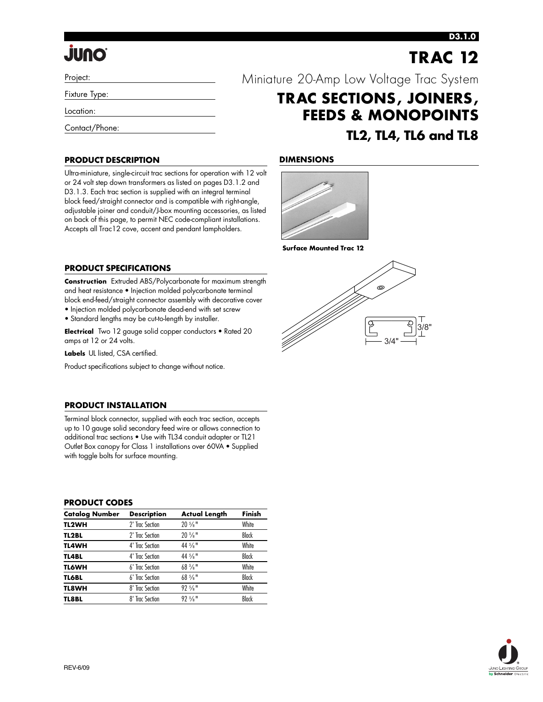# **JUNO**

### **D3.1.0**

|                                          |  | <b>TRAC 12</b> |  |
|------------------------------------------|--|----------------|--|
| Miniature 20-Amp Low Voltage Trac System |  |                |  |

**TRAC SECTIONS, JOINERS,**

**FEEDS & MONOPOINTS**

**TL2, TL4, TL6 and TL8**

3/8"

3/4"

ക

Project:

Fixture Type:

Location:

Contact/Phone:

### **PRODUCT DESCRIPTION**

Ultra-miniature, single-circuit trac sections for operation with 12 volt or 24 volt step down transformers as listed on pages D3.1.2 and D3.1.3. Each trac section is supplied with an integral terminal block feed/straight connector and is compatible with right-angle, adjustable joiner and conduit/J-box mounting accessories, as listed on back of this page, to permit NEC code-compliant installations. Accepts all Trac12 cove, accent and pendant lampholders.



**Surface Mounted Trac 12**

### **PRODUCT SPECIFICATIONS**

**Construction** Extruded ABS/Polycarbonate for maximum strength and heat resistance • Injection molded polycarbonate terminal block end-feed/straight connector assembly with decorative cover

- Injection molded polycarbonate dead-end with set screw
- Standard lengths may be cut-to-length by installer.

**Electrical** Two 12 gauge solid copper conductors • Rated 20 amps at 12 or 24 volts.

**Labels** UL listed, CSA certified.

Product specifications subject to change without notice.

### **PRODUCT INSTALLATION**

Terminal block connector, supplied with each trac section, accepts up to 10 gauge solid secondary feed wire or allows connection to additional trac sections • Use with TL34 conduit adapter or TL21 Outlet Box canopy for Class 1 installations over 60VA • Supplied with toggle bolts for surface mounting.

### **PRODUCT CODES**

| <b>Catalog Number</b> | <b>Description</b> | <b>Actual Length</b>          | Finish       |
|-----------------------|--------------------|-------------------------------|--------------|
| TL2WH                 | 2' Trac Section    | $20\frac{5}{8}$ "             | White        |
| <b>TL2BL</b>          | 2' Trac Section    | $20\frac{5}{8}$ "             | <b>Black</b> |
| <b>TL4WH</b>          | 4' Trac Section    | $44\frac{5}{8}$ <sup>11</sup> | White        |
| TL4BL                 | 4' Trac Section    | $44\frac{5}{8}$ <sup>11</sup> | Black        |
| <b>TL6WH</b>          | 6' Trac Section    | $68\frac{5}{8}$ "             | White        |
| <b>TL6BL</b>          | 6' Trac Section    | $68\frac{5}{8}$ "             | <b>Black</b> |
| TL8WH                 | 8' Trac Section    | $92.5/8$ $\mu$                | White        |
| <b>TL8BL</b>          | 8' Trac Section    | $92.5/8$ $\mu$                | Black        |